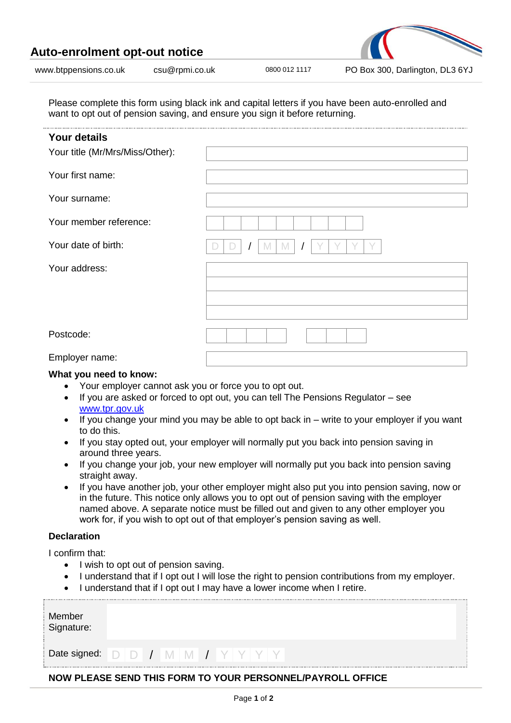| Auto-enrolment opt-out notice |                |               |                                 |
|-------------------------------|----------------|---------------|---------------------------------|
| www.btppensions.co.uk         | csu@rpmi.co.uk | 0800 012 1117 | PO Box 300, Darlington, DL3 6YJ |

Please complete this form using black ink and capital letters if you have been auto-enrolled and want to opt out of pension saving, and ensure you sign it before returning.

| <b>Your details</b><br>Your title (Mr/Mrs/Miss/Other): |  |
|--------------------------------------------------------|--|
| Your first name:                                       |  |
| Your surname:                                          |  |
| Your member reference:                                 |  |
| Your date of birth:                                    |  |
| Your address:                                          |  |
|                                                        |  |
|                                                        |  |
| Postcode:                                              |  |
| Employer name:                                         |  |

## **What you need to know:**

- Your employer cannot ask you or force you to opt out.
- If you are asked or forced to opt out, you can tell The Pensions Regulator see [www.tpr.gov.uk](http://www.tpr.gov.uk/)
- If you change your mind you may be able to opt back in write to your employer if you want to do this.
- If you stay opted out, your employer will normally put you back into pension saving in around three years.
- If you change your job, your new employer will normally put you back into pension saving straight away.
- If you have another job, your other employer might also put you into pension saving, now or in the future. This notice only allows you to opt out of pension saving with the employer named above. A separate notice must be filled out and given to any other employer you work for, if you wish to opt out of that employer's pension saving as well.

## **Declaration**

I confirm that:

- I wish to opt out of pension saving.
- I understand that if I opt out I will lose the right to pension contributions from my employer.
- I understand that if I opt out I may have a lower income when I retire.

| Member<br>Signature:                                       |  |  |  |  |  |  |  |  |  |  |  |  |  |  |
|------------------------------------------------------------|--|--|--|--|--|--|--|--|--|--|--|--|--|--|
|                                                            |  |  |  |  |  |  |  |  |  |  |  |  |  |  |
| NOW PLEASE SEND THIS FORM TO YOUR PERSONNEL/PAYROLL OFFICE |  |  |  |  |  |  |  |  |  |  |  |  |  |  |